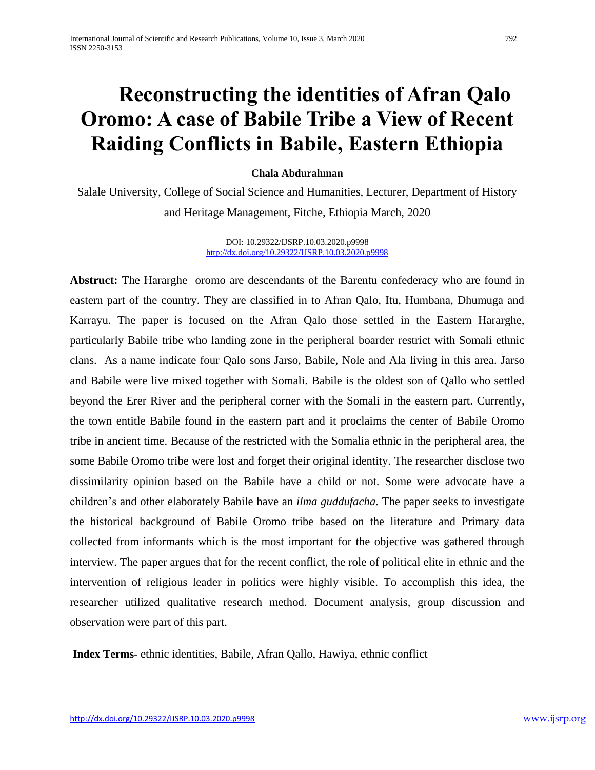# **Reconstructing the identities of Afran Qalo Oromo: A case of Babile Tribe a View of Recent Raiding Conflicts in Babile, Eastern Ethiopia**

# **Chala Abdurahman**

Salale University, College of Social Science and Humanities, Lecturer, Department of History and Heritage Management, Fitche, Ethiopia March, 2020

> DOI: 10.29322/IJSRP.10.03.2020.p9998 <http://dx.doi.org/10.29322/IJSRP.10.03.2020.p9998>

**Abstruct:** The Hararghe oromo are descendants of the Barentu confederacy who are found in eastern part of the country. They are classified in to Afran Qalo, Itu, Humbana, Dhumuga and Karrayu. The paper is focused on the Afran Qalo those settled in the Eastern Hararghe, particularly Babile tribe who landing zone in the peripheral boarder restrict with Somali ethnic clans. As a name indicate four Qalo sons Jarso, Babile, Nole and Ala living in this area. Jarso and Babile were live mixed together with Somali. Babile is the oldest son of Qallo who settled beyond the Erer River and the peripheral corner with the Somali in the eastern part. Currently, the town entitle Babile found in the eastern part and it proclaims the center of Babile Oromo tribe in ancient time. Because of the restricted with the Somalia ethnic in the peripheral area, the some Babile Oromo tribe were lost and forget their original identity. The researcher disclose two dissimilarity opinion based on the Babile have a child or not. Some were advocate have a children's and other elaborately Babile have an *ilma guddufacha.* The paper seeks to investigate the historical background of Babile Oromo tribe based on the literature and Primary data collected from informants which is the most important for the objective was gathered through interview. The paper argues that for the recent conflict, the role of political elite in ethnic and the intervention of religious leader in politics were highly visible. To accomplish this idea, the researcher utilized qualitative research method. Document analysis, group discussion and observation were part of this part.

**Index Terms-** ethnic identities, Babile, Afran Qallo, Hawiya, ethnic conflict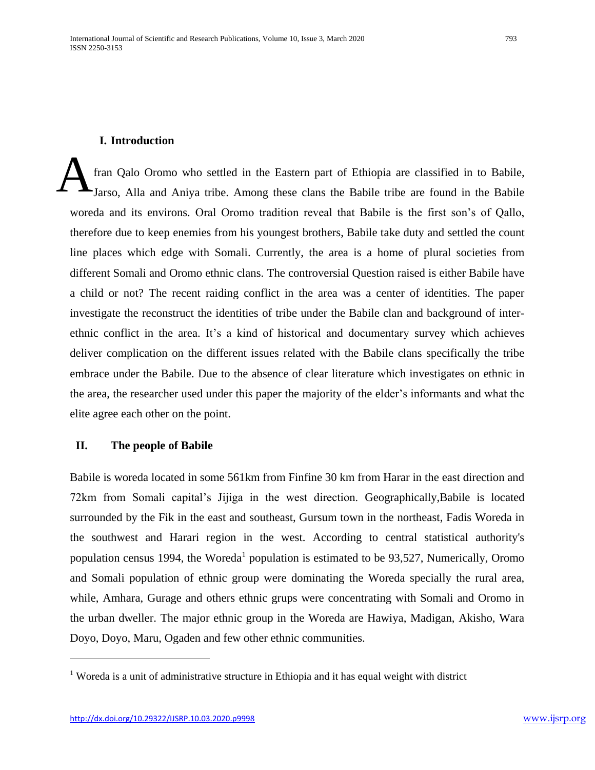#### **I. Introduction**

fran Qalo Oromo who settled in the Eastern part of Ethiopia are classified in to Babile, Jarso, Alla and Aniya tribe. Among these clans the Babile tribe are found in the Babile woreda and its environs. Oral Oromo tradition reveal that Babile is the first son's of Qallo, therefore due to keep enemies from his youngest brothers, Babile take duty and settled the count line places which edge with Somali. Currently, the area is a home of plural societies from different Somali and Oromo ethnic clans. The controversial Question raised is either Babile have a child or not? The recent raiding conflict in the area was a center of identities. The paper investigate the reconstruct the identities of tribe under the Babile clan and background of interethnic conflict in the area. It's a kind of historical and documentary survey which achieves deliver complication on the different issues related with the Babile clans specifically the tribe embrace under the Babile. Due to the absence of clear literature which investigates on ethnic in the area, the researcher used under this paper the majority of the elder's informants and what the elite agree each other on the point. A

#### **II. The people of Babile**

Babile is woreda located in some 561km from Finfine 30 km from Harar in the east direction and 72km from Somali capital's Jijiga in the west direction. Geographically,Babile is located surrounded by the Fik in the east and southeast, Gursum town in the northeast, Fadis Woreda in the southwest and Harari region in the west. According to central statistical authority's population census 1994, the Woreda<sup>1</sup> population is estimated to be 93,527, Numerically, Oromo and Somali population of ethnic group were dominating the Woreda specially the rural area, while, Amhara, Gurage and others ethnic grups were concentrating with Somali and Oromo in the urban dweller. The major ethnic group in the Woreda are Hawiya, Madigan, Akisho, Wara Doyo, Doyo, Maru, Ogaden and few other ethnic communities.

<sup>&</sup>lt;sup>1</sup> Woreda is a unit of administrative structure in Ethiopia and it has equal weight with district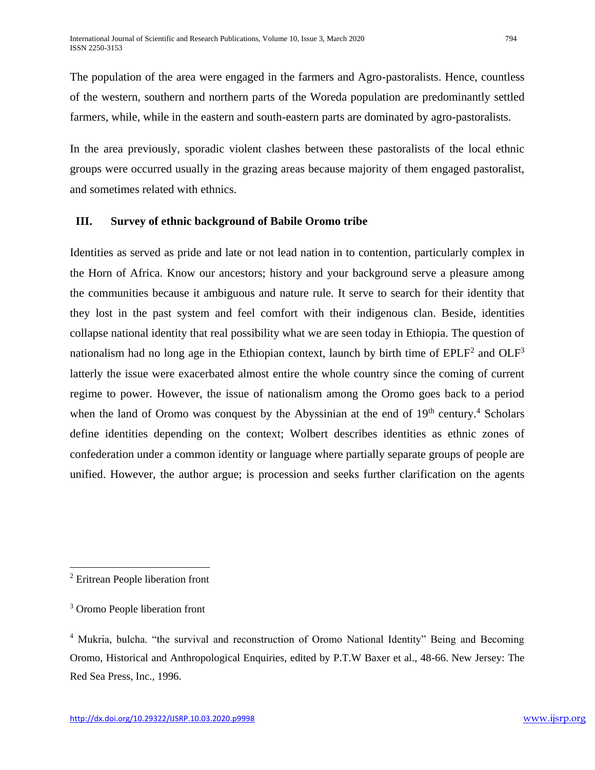The population of the area were engaged in the farmers and Agro-pastoralists. Hence, countless of the western, southern and northern parts of the Woreda population are predominantly settled farmers, while, while in the eastern and south-eastern parts are dominated by agro-pastoralists.

In the area previously, sporadic violent clashes between these pastoralists of the local ethnic groups were occurred usually in the grazing areas because majority of them engaged pastoralist, and sometimes related with ethnics.

## **III. Survey of ethnic background of Babile Oromo tribe**

Identities as served as pride and late or not lead nation in to contention, particularly complex in the Horn of Africa. Know our ancestors; history and your background serve a pleasure among the communities because it ambiguous and nature rule. It serve to search for their identity that they lost in the past system and feel comfort with their indigenous clan. Beside, identities collapse national identity that real possibility what we are seen today in Ethiopia. The question of nationalism had no long age in the Ethiopian context, launch by birth time of  $EPLF<sup>2</sup>$  and  $OLF<sup>3</sup>$ latterly the issue were exacerbated almost entire the whole country since the coming of current regime to power. However, the issue of nationalism among the Oromo goes back to a period when the land of Oromo was conquest by the Abyssinian at the end of  $19<sup>th</sup>$  century.<sup>4</sup> Scholars define identities depending on the context; Wolbert describes identities as ethnic zones of confederation under a common identity or language where partially separate groups of people are unified. However, the author argue; is procession and seeks further clarification on the agents

 $\overline{\phantom{a}}$ <sup>2</sup> Eritrean People liberation front

<sup>3</sup> Oromo People liberation front

<sup>4</sup> Mukria, bulcha. "the survival and reconstruction of Oromo National Identity" Being and Becoming Oromo, Historical and Anthropological Enquiries, edited by P.T.W Baxer et al., 48-66. New Jersey: The Red Sea Press, Inc., 1996.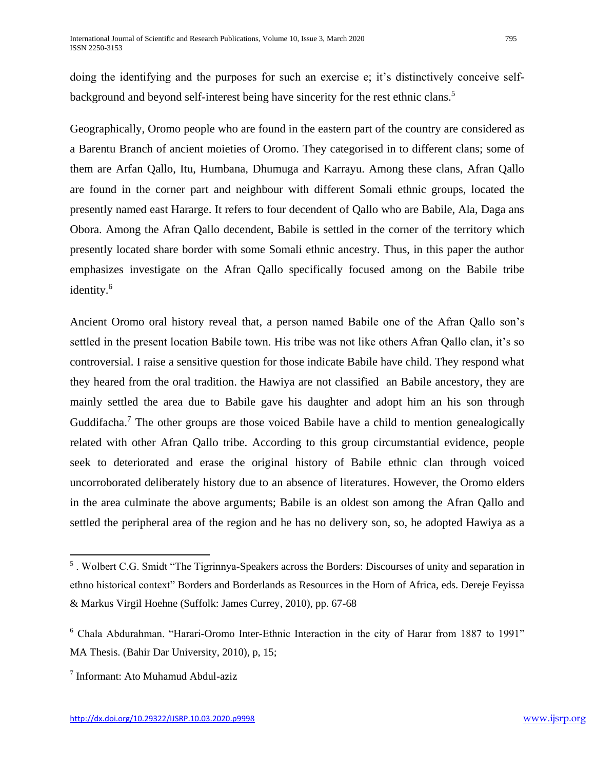Geographically, Oromo people who are found in the eastern part of the country are considered as a Barentu Branch of ancient moieties of Oromo. They categorised in to different clans; some of them are Arfan Qallo, Itu, Humbana, Dhumuga and Karrayu. Among these clans, Afran Qallo are found in the corner part and neighbour with different Somali ethnic groups, located the presently named east Hararge. It refers to four decendent of Qallo who are Babile, Ala, Daga ans Obora. Among the Afran Qallo decendent, Babile is settled in the corner of the territory which presently located share border with some Somali ethnic ancestry. Thus, in this paper the author emphasizes investigate on the Afran Qallo specifically focused among on the Babile tribe identity.<sup>6</sup>

Ancient Oromo oral history reveal that, a person named Babile one of the Afran Qallo son's settled in the present location Babile town. His tribe was not like others Afran Qallo clan, it's so controversial. I raise a sensitive question for those indicate Babile have child. They respond what they heared from the oral tradition. the Hawiya are not classified an Babile ancestory, they are mainly settled the area due to Babile gave his daughter and adopt him an his son through Guddifacha.<sup>7</sup> The other groups are those voiced Babile have a child to mention genealogically related with other Afran Qallo tribe. According to this group circumstantial evidence, people seek to deteriorated and erase the original history of Babile ethnic clan through voiced uncorroborated deliberately history due to an absence of literatures. However, the Oromo elders in the area culminate the above arguments; Babile is an oldest son among the Afran Qallo and settled the peripheral area of the region and he has no delivery son, so, he adopted Hawiya as a

<sup>&</sup>lt;sup>5</sup>. Wolbert C.G. Smidt "The Tigrinnya-Speakers across the Borders: Discourses of unity and separation in ethno historical context" Borders and Borderlands as Resources in the Horn of Africa, eds. Dereje Feyissa & Markus Virgil Hoehne (Suffolk: James Currey, 2010), pp. 67-68

<sup>6</sup> Chala Abdurahman. "Harari-Oromo Inter-Ethnic Interaction in the city of Harar from 1887 to 1991" MA Thesis. (Bahir Dar University, 2010), p, 15;

<sup>7</sup> Informant: Ato Muhamud Abdul-aziz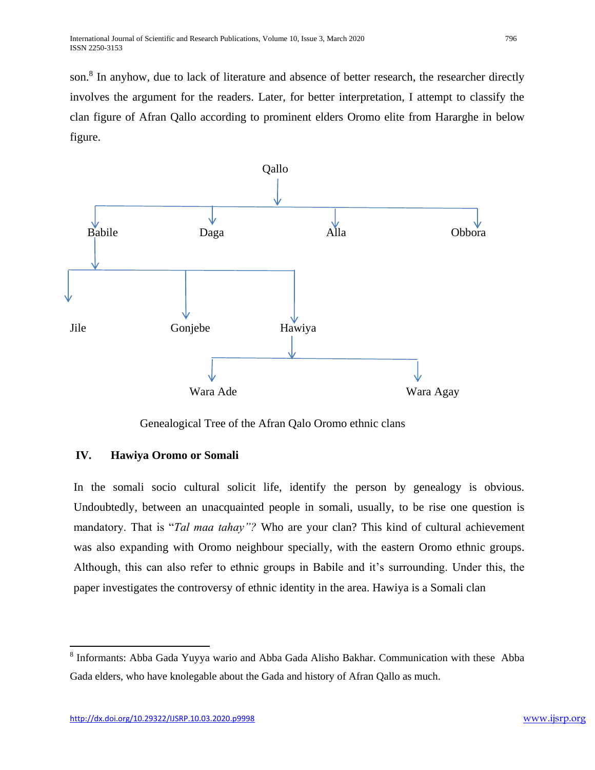son.<sup>8</sup> In anyhow, due to lack of literature and absence of better research, the researcher directly involves the argument for the readers. Later, for better interpretation, I attempt to classify the clan figure of Afran Qallo according to prominent elders Oromo elite from Hararghe in below figure.



Genealogical Tree of the Afran Qalo Oromo ethnic clans

# **IV. Hawiya Oromo or Somali**

In the somali socio cultural solicit life, identify the person by genealogy is obvious. Undoubtedly, between an unacquainted people in somali, usually, to be rise one question is mandatory. That is "*Tal maa tahay"?* Who are your clan? This kind of cultural achievement was also expanding with Oromo neighbour specially, with the eastern Oromo ethnic groups. Although, this can also refer to ethnic groups in Babile and it's surrounding. Under this, the paper investigates the controversy of ethnic identity in the area. Hawiya is a Somali clan

<sup>&</sup>lt;sup>8</sup> Informants: Abba Gada Yuyya wario and Abba Gada Alisho Bakhar. Communication with these Abba Gada elders, who have knolegable about the Gada and history of Afran Qallo as much.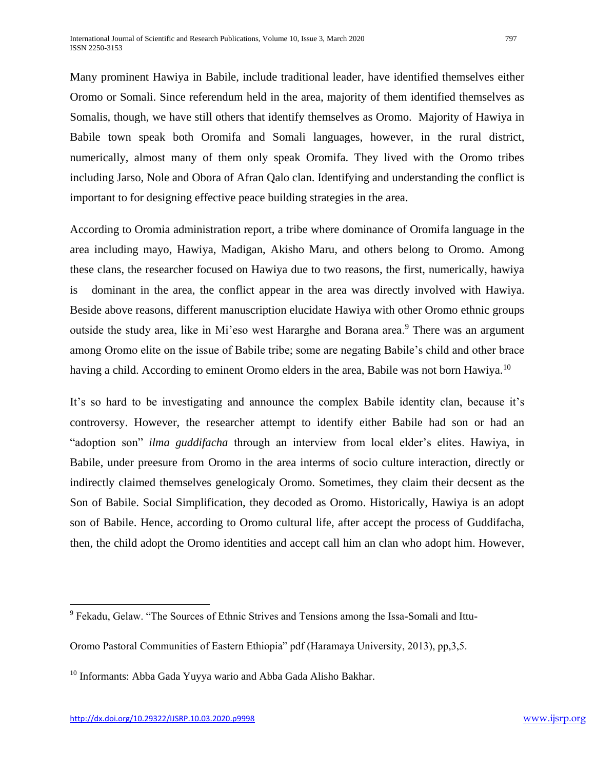Many prominent Hawiya in Babile, include traditional leader, have identified themselves either Oromo or Somali. Since referendum held in the area, majority of them identified themselves as Somalis, though, we have still others that identify themselves as Oromo. Majority of Hawiya in Babile town speak both Oromifa and Somali languages, however, in the rural district, numerically, almost many of them only speak Oromifa. They lived with the Oromo tribes including Jarso, Nole and Obora of Afran Qalo clan. Identifying and understanding the conflict is important to for designing effective peace building strategies in the area.

According to Oromia administration report, a tribe where dominance of Oromifa language in the area including mayo, Hawiya, Madigan, Akisho Maru, and others belong to Oromo. Among these clans, the researcher focused on Hawiya due to two reasons, the first, numerically, hawiya is dominant in the area, the conflict appear in the area was directly involved with Hawiya. Beside above reasons, different manuscription elucidate Hawiya with other Oromo ethnic groups outside the study area, like in Mi'eso west Hararghe and Borana area.<sup>9</sup> There was an argument among Oromo elite on the issue of Babile tribe; some are negating Babile's child and other brace having a child. According to eminent Oromo elders in the area, Babile was not born Hawiya.<sup>10</sup>

It's so hard to be investigating and announce the complex Babile identity clan, because it's controversy. However, the researcher attempt to identify either Babile had son or had an "adoption son" *ilma guddifacha* through an interview from local elder's elites. Hawiya, in Babile, under preesure from Oromo in the area interms of socio culture interaction, directly or indirectly claimed themselves genelogicaly Oromo. Sometimes, they claim their decsent as the Son of Babile. Social Simplification, they decoded as Oromo. Historically, Hawiya is an adopt son of Babile. Hence, according to Oromo cultural life, after accept the process of Guddifacha, then, the child adopt the Oromo identities and accept call him an clan who adopt him. However,

<sup>&</sup>lt;sup>9</sup> Fekadu, Gelaw. "The Sources of Ethnic Strives and Tensions among the Issa-Somali and Ittu-

Oromo Pastoral Communities of Eastern Ethiopia" pdf (Haramaya University, 2013), pp,3,5.

<sup>&</sup>lt;sup>10</sup> Informants: Abba Gada Yuyya wario and Abba Gada Alisho Bakhar.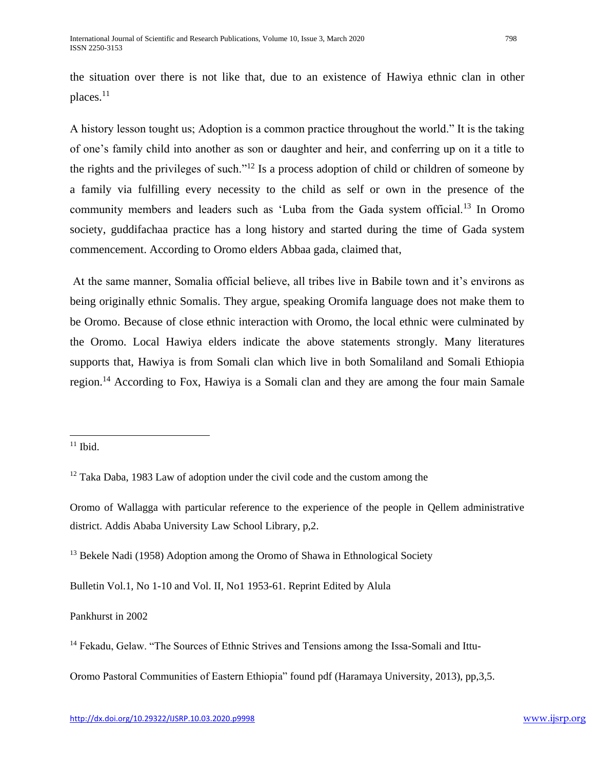the situation over there is not like that, due to an existence of Hawiya ethnic clan in other places. $11$ 

A history lesson tought us; Adoption is a common practice throughout the world." It is the taking of one's family child into another as son or daughter and heir, and conferring up on it a title to the rights and the privileges of such."<sup>12</sup> Is a process adoption of child or children of someone by a family via fulfilling every necessity to the child as self or own in the presence of the community members and leaders such as 'Luba from the Gada system official.<sup>13</sup> In Oromo society, guddifachaa practice has a long history and started during the time of Gada system commencement. According to Oromo elders Abbaa gada, claimed that,

At the same manner, Somalia official believe, all tribes live in Babile town and it's environs as being originally ethnic Somalis. They argue, speaking Oromifa language does not make them to be Oromo. Because of close ethnic interaction with Oromo, the local ethnic were culminated by the Oromo. Local Hawiya elders indicate the above statements strongly. Many literatures supports that, Hawiya is from Somali clan which live in both Somaliland and Somali Ethiopia region.<sup>14</sup> According to Fox, Hawiya is a Somali clan and they are among the four main Samale

 $\overline{a}$ 

Bulletin Vol.1, No 1-10 and Vol. II, No1 1953-61. Reprint Edited by Alula

Pankhurst in 2002

Oromo Pastoral Communities of Eastern Ethiopia" found pdf (Haramaya University, 2013), pp,3,5.

 $11$  Ibid.

 $12$  Taka Daba, 1983 Law of adoption under the civil code and the custom among the

Oromo of Wallagga with particular reference to the experience of the people in Qellem administrative district. Addis Ababa University Law School Library, p,2.

<sup>&</sup>lt;sup>13</sup> Bekele Nadi (1958) Adoption among the Oromo of Shawa in Ethnological Society

<sup>&</sup>lt;sup>14</sup> Fekadu, Gelaw. "The Sources of Ethnic Strives and Tensions among the Issa-Somali and Ittu-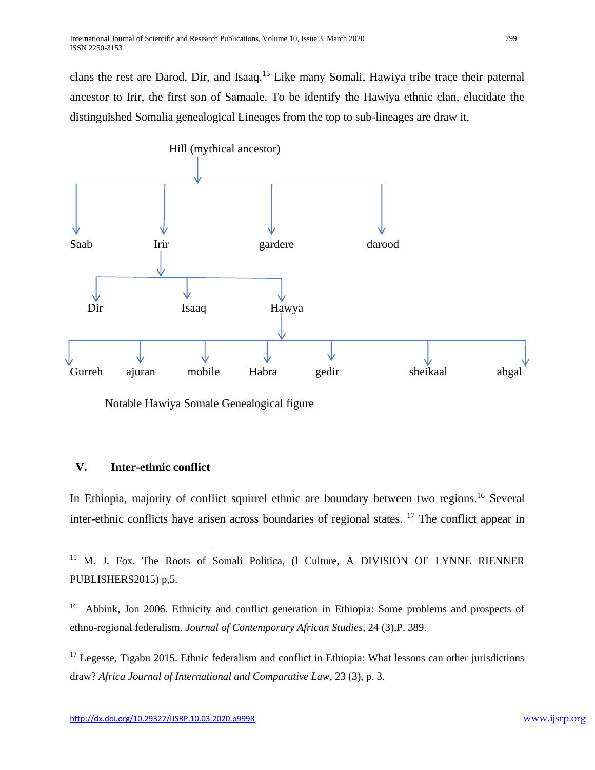clans the rest are Darod, Dir, and Isaaq.<sup>15</sup> Like many Somali, Hawiya tribe trace their paternal ancestor to Irir, the first son of Samaale. To be identify the Hawiya ethnic clan, elucidate the distinguished Somalia genealogical Lineages from the top to sub-lineages are draw it.



Notable Hawiya Somale Genealogical figure

# **V. Inter-ethnic conflict**

 $\overline{\phantom{a}}$ 

In Ethiopia, majority of conflict squirrel ethnic are boundary between two regions.<sup>16</sup> Several inter-ethnic conflicts have arisen across boundaries of regional states. <sup>17</sup> The conflict appear in

<sup>&</sup>lt;sup>15</sup> M. J. Fox. The Roots of Somali Politica, (1 Culture, A DIVISION OF LYNNE RIENNER PUBLISHERS2015) p,5.

<sup>&</sup>lt;sup>16</sup> Abbink, Jon 2006. Ethnicity and conflict generation in Ethiopia: Some problems and prospects of ethno-regional federalism. *Journal of Contemporary African Studies*, 24 (3),P. 389.

<sup>&</sup>lt;sup>17</sup> Legesse, Tigabu 2015. Ethnic federalism and conflict in Ethiopia: What lessons can other jurisdictions draw? *Africa Journal of International and Comparative Law*, 23 (3), p. 3.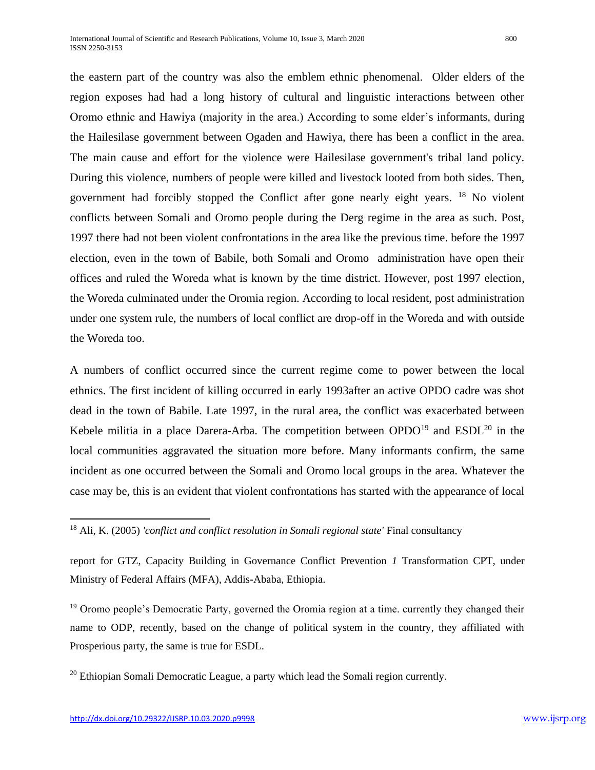the eastern part of the country was also the emblem ethnic phenomenal. Older elders of the region exposes had had a long history of cultural and linguistic interactions between other Oromo ethnic and Hawiya (majority in the area.) According to some elder's informants, during the Hailesilase government between Ogaden and Hawiya, there has been a conflict in the area. The main cause and effort for the violence were Hailesilase government's tribal land policy. During this violence, numbers of people were killed and livestock looted from both sides. Then, government had forcibly stopped the Conflict after gone nearly eight years. <sup>18</sup> No violent conflicts between Somali and Oromo people during the Derg regime in the area as such. Post, 1997 there had not been violent confrontations in the area like the previous time. before the 1997 election, even in the town of Babile, both Somali and Oromo administration have open their offices and ruled the Woreda what is known by the time district. However, post 1997 election, the Woreda culminated under the Oromia region. According to local resident, post administration under one system rule, the numbers of local conflict are drop-off in the Woreda and with outside the Woreda too.

A numbers of conflict occurred since the current regime come to power between the local ethnics. The first incident of killing occurred in early 1993after an active OPDO cadre was shot dead in the town of Babile. Late 1997, in the rural area, the conflict was exacerbated between Kebele militia in a place Darera-Arba. The competition between  $OPDO<sup>19</sup>$  and  $ESDL<sup>20</sup>$  in the local communities aggravated the situation more before. Many informants confirm, the same incident as one occurred between the Somali and Oromo local groups in the area. Whatever the case may be, this is an evident that violent confrontations has started with the appearance of local

 $19$  Oromo people's Democratic Party, governed the Oromia region at a time. currently they changed their name to ODP, recently, based on the change of political system in the country, they affiliated with Prosperious party, the same is true for ESDL.

 $20$  Ethiopian Somali Democratic League, a party which lead the Somali region currently.

<sup>&</sup>lt;sup>18</sup> Ali, K. (2005) *'conflict and conflict resolution in Somali regional state'* Final consultancy

report for GTZ, Capacity Building in Governance Conflict Prevention *1* Transformation CPT, under Ministry of Federal Affairs (MFA), Addis-Ababa, Ethiopia.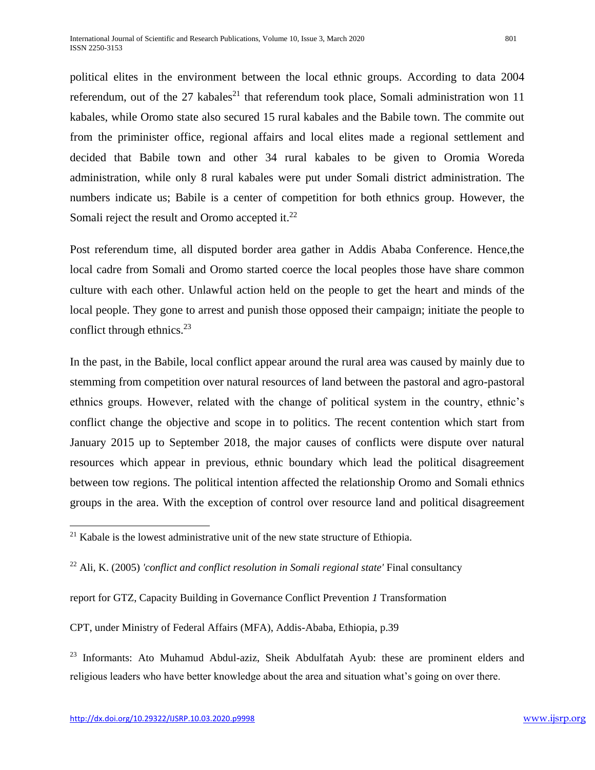political elites in the environment between the local ethnic groups. According to data 2004 referendum, out of the 27 kabales<sup>21</sup> that referendum took place, Somali administration won 11 kabales, while Oromo state also secured 15 rural kabales and the Babile town. The commite out from the priminister office, regional affairs and local elites made a regional settlement and decided that Babile town and other 34 rural kabales to be given to Oromia Woreda administration, while only 8 rural kabales were put under Somali district administration. The numbers indicate us; Babile is a center of competition for both ethnics group. However, the Somali reject the result and Oromo accepted it.<sup>22</sup>

Post referendum time, all disputed border area gather in Addis Ababa Conference. Hence,the local cadre from Somali and Oromo started coerce the local peoples those have share common culture with each other. Unlawful action held on the people to get the heart and minds of the local people. They gone to arrest and punish those opposed their campaign; initiate the people to conflict through ethnics. $^{23}$ 

In the past, in the Babile, local conflict appear around the rural area was caused by mainly due to stemming from competition over natural resources of land between the pastoral and agro-pastoral ethnics groups. However, related with the change of political system in the country, ethnic's conflict change the objective and scope in to politics. The recent contention which start from January 2015 up to September 2018, the major causes of conflicts were dispute over natural resources which appear in previous, ethnic boundary which lead the political disagreement between tow regions. The political intention affected the relationship Oromo and Somali ethnics groups in the area. With the exception of control over resource land and political disagreement

CPT, under Ministry of Federal Affairs (MFA), Addis-Ababa, Ethiopia, p.39

<sup>23</sup> Informants: Ato Muhamud Abdul-aziz, Sheik Abdulfatah Ayub: these are prominent elders and religious leaders who have better knowledge about the area and situation what's going on over there.

 $21$  Kabale is the lowest administrative unit of the new state structure of Ethiopia.

<sup>&</sup>lt;sup>22</sup> Ali, K. (2005) *'conflict and conflict resolution in Somali regional state'* Final consultancy

report for GTZ, Capacity Building in Governance Conflict Prevention *1* Transformation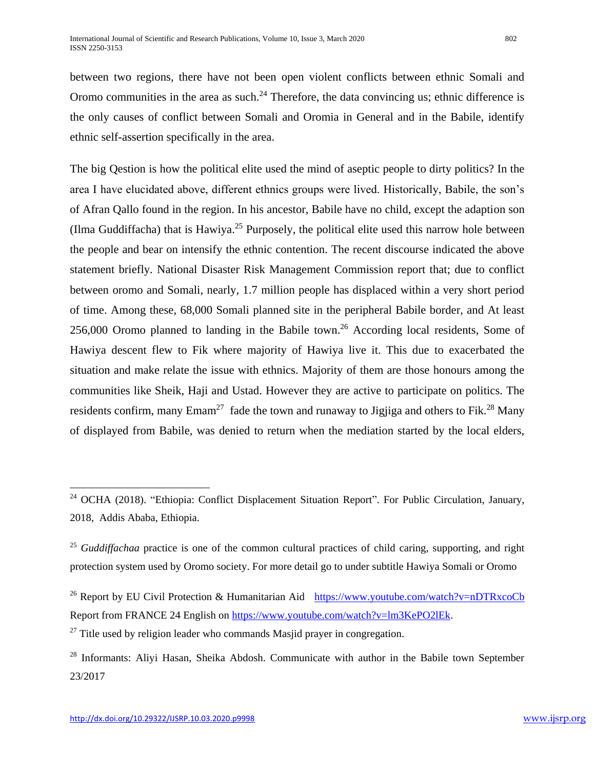between two regions, there have not been open violent conflicts between ethnic Somali and Oromo communities in the area as such.<sup>24</sup> Therefore, the data convincing us; ethnic difference is the only causes of conflict between Somali and Oromia in General and in the Babile, identify ethnic self-assertion specifically in the area.

The big Qestion is how the political elite used the mind of aseptic people to dirty politics? In the area I have elucidated above, different ethnics groups were lived. Historically, Babile, the son's of Afran Qallo found in the region. In his ancestor, Babile have no child, except the adaption son (Ilma Guddiffacha) that is Hawiya.<sup>25</sup> Purposely, the political elite used this narrow hole between the people and bear on intensify the ethnic contention. The recent discourse indicated the above statement briefly. National Disaster Risk Management Commission report that; due to conflict between oromo and Somali, nearly, 1.7 million people has displaced within a very short period of time. Among these, 68,000 Somali planned site in the peripheral Babile border, and At least 256,000 Oromo planned to landing in the Babile town.<sup>26</sup> According local residents, Some of Hawiya descent flew to Fik where majority of Hawiya live it. This due to exacerbated the situation and make relate the issue with ethnics. Majority of them are those honours among the communities like Sheik, Haji and Ustad. However they are active to participate on politics. The residents confirm, many  $E$ mam<sup>27</sup> fade the town and runaway to Jigjiga and others to Fik.<sup>28</sup> Many of displayed from Babile, was denied to return when the mediation started by the local elders,

 $27$  Title used by religion leader who commands Masjid prayer in congregation.

 $\overline{a}$ 

<sup>&</sup>lt;sup>24</sup> OCHA (2018). "Ethiopia: Conflict Displacement Situation Report". For Public Circulation, January, 2018, Addis Ababa, Ethiopia.

<sup>&</sup>lt;sup>25</sup> *Guddiffachaa* practice is one of the common cultural practices of child caring, supporting, and right protection system used by Oromo society. For more detail go to under subtitle Hawiya Somali or Oromo

<sup>&</sup>lt;sup>26</sup> Report by EU Civil Protection & Humanitarian Aid <https://www.youtube.com/watch?v=nDTRxcoCb> Report from FRANCE 24 English on [https://www.youtube.com/watch?v=lm3KePO2lEk.](https://www.youtube.com/watch?v=lm3KePO2lEk)

<sup>&</sup>lt;sup>28</sup> Informants: Aliyi Hasan, Sheika Abdosh. Communicate with author in the Babile town September 23/2017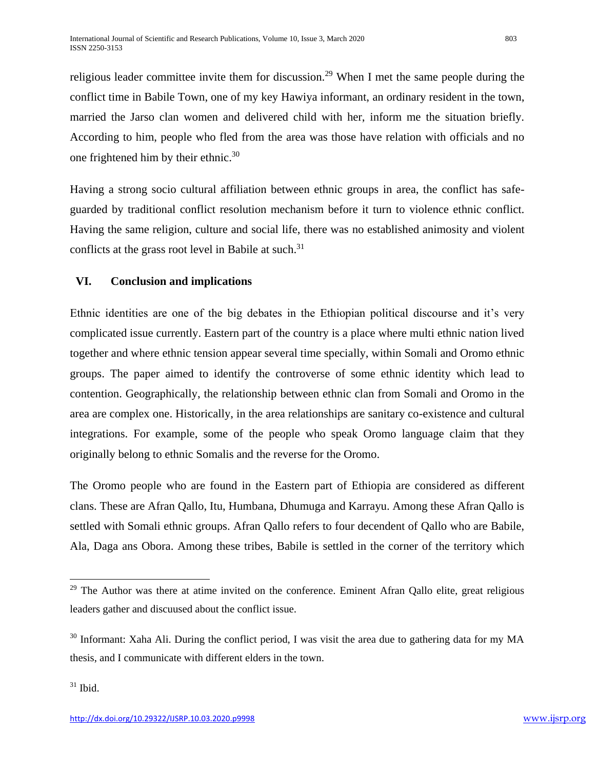religious leader committee invite them for discussion.<sup>29</sup> When I met the same people during the conflict time in Babile Town, one of my key Hawiya informant, an ordinary resident in the town, married the Jarso clan women and delivered child with her, inform me the situation briefly. According to him, people who fled from the area was those have relation with officials and no one frightened him by their ethnic.<sup>30</sup>

Having a strong socio cultural affiliation between ethnic groups in area, the conflict has safeguarded by traditional conflict resolution mechanism before it turn to violence ethnic conflict. Having the same religion, culture and social life, there was no established animosity and violent conflicts at the grass root level in Babile at such.<sup>31</sup>

## **VI. Conclusion and implications**

Ethnic identities are one of the big debates in the Ethiopian political discourse and it's very complicated issue currently. Eastern part of the country is a place where multi ethnic nation lived together and where ethnic tension appear several time specially, within Somali and Oromo ethnic groups. The paper aimed to identify the controverse of some ethnic identity which lead to contention. Geographically, the relationship between ethnic clan from Somali and Oromo in the area are complex one. Historically, in the area relationships are sanitary co-existence and cultural integrations. For example, some of the people who speak Oromo language claim that they originally belong to ethnic Somalis and the reverse for the Oromo.

The Oromo people who are found in the Eastern part of Ethiopia are considered as different clans. These are Afran Qallo, Itu, Humbana, Dhumuga and Karrayu. Among these Afran Qallo is settled with Somali ethnic groups. Afran Qallo refers to four decendent of Qallo who are Babile, Ala, Daga ans Obora. Among these tribes, Babile is settled in the corner of the territory which

<sup>&</sup>lt;sup>29</sup> The Author was there at atime invited on the conference. Eminent Afran Qallo elite, great religious leaders gather and discuused about the conflict issue.

<sup>&</sup>lt;sup>30</sup> Informant: Xaha Ali. During the conflict period, I was visit the area due to gathering data for my MA thesis, and I communicate with different elders in the town.

 $31$  Ibid.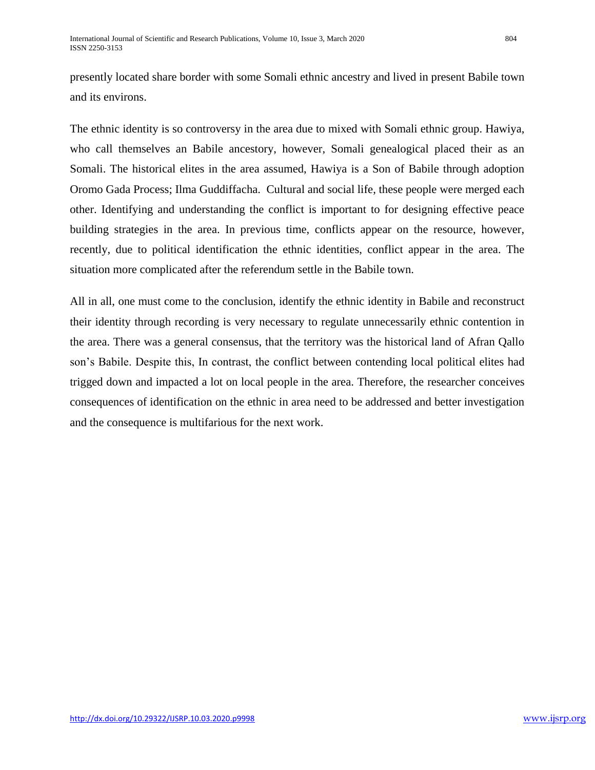presently located share border with some Somali ethnic ancestry and lived in present Babile town and its environs.

The ethnic identity is so controversy in the area due to mixed with Somali ethnic group. Hawiya, who call themselves an Babile ancestory, however, Somali genealogical placed their as an Somali. The historical elites in the area assumed, Hawiya is a Son of Babile through adoption Oromo Gada Process; Ilma Guddiffacha. Cultural and social life, these people were merged each other. Identifying and understanding the conflict is important to for designing effective peace building strategies in the area. In previous time, conflicts appear on the resource, however, recently, due to political identification the ethnic identities, conflict appear in the area. The situation more complicated after the referendum settle in the Babile town.

All in all, one must come to the conclusion, identify the ethnic identity in Babile and reconstruct their identity through recording is very necessary to regulate unnecessarily ethnic contention in the area. There was a general consensus, that the territory was the historical land of Afran Qallo son's Babile. Despite this, In contrast, the conflict between contending local political elites had trigged down and impacted a lot on local people in the area. Therefore, the researcher conceives consequences of identification on the ethnic in area need to be addressed and better investigation and the consequence is multifarious for the next work.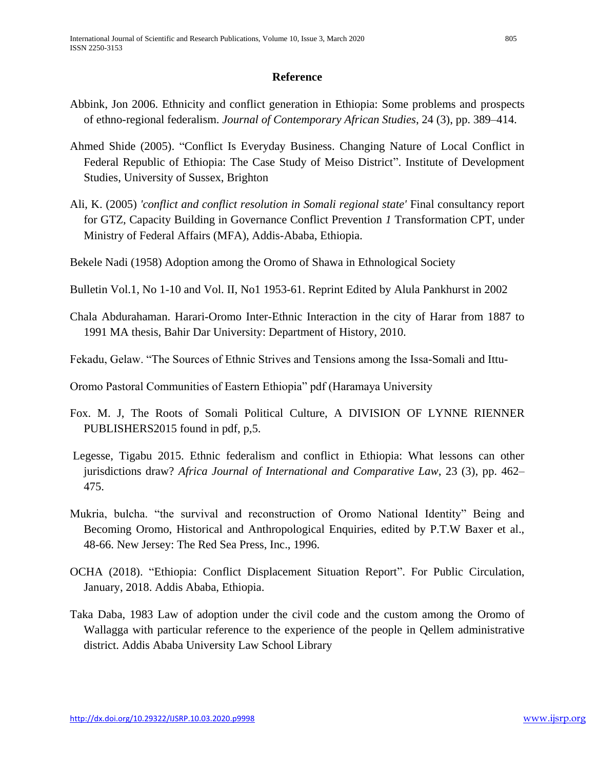## **Reference**

- Abbink, Jon 2006. Ethnicity and conflict generation in Ethiopia: Some problems and prospects of ethno-regional federalism. *Journal of Contemporary African Studies*, 24 (3), pp. 389–414.
- Ahmed Shide (2005). "Conflict Is Everyday Business. Changing Nature of Local Conflict in Federal Republic of Ethiopia: The Case Study of Meiso District". Institute of Development Studies, University of Sussex, Brighton
- Ali, K. (2005) *'conflict and conflict resolution in Somali regional state'* Final consultancy report for GTZ, Capacity Building in Governance Conflict Prevention *1* Transformation CPT, under Ministry of Federal Affairs (MFA), Addis-Ababa, Ethiopia.
- Bekele Nadi (1958) Adoption among the Oromo of Shawa in Ethnological Society
- Bulletin Vol.1, No 1-10 and Vol. II, No1 1953-61. Reprint Edited by Alula Pankhurst in 2002
- Chala Abdurahaman. Harari-Oromo Inter-Ethnic Interaction in the city of Harar from 1887 to 1991 MA thesis, Bahir Dar University: Department of History, 2010.
- Fekadu, Gelaw. "The Sources of Ethnic Strives and Tensions among the Issa-Somali and Ittu-
- Oromo Pastoral Communities of Eastern Ethiopia" pdf (Haramaya University
- Fox. M. J, The Roots of Somali Political Culture, A DIVISION OF LYNNE RIENNER PUBLISHERS2015 found in pdf, p,5.
- Legesse, Tigabu 2015. Ethnic federalism and conflict in Ethiopia: What lessons can other jurisdictions draw? *Africa Journal of International and Comparative Law*, 23 (3), pp. 462– 475.
- Mukria, bulcha. "the survival and reconstruction of Oromo National Identity" Being and Becoming Oromo, Historical and Anthropological Enquiries, edited by P.T.W Baxer et al., 48-66. New Jersey: The Red Sea Press, Inc., 1996.
- OCHA (2018). "Ethiopia: Conflict Displacement Situation Report". For Public Circulation, January, 2018. Addis Ababa, Ethiopia.
- Taka Daba, 1983 Law of adoption under the civil code and the custom among the Oromo of Wallagga with particular reference to the experience of the people in Qellem administrative district. Addis Ababa University Law School Library